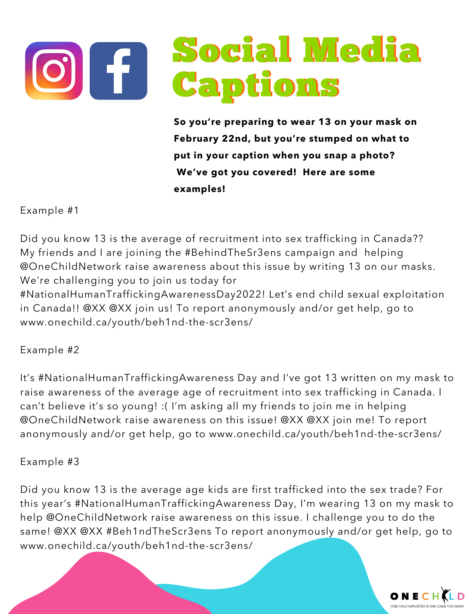

**So you're preparing to wear 13 on your mask on February 22nd, but you're stumped on what to put in your caption when you snap a photo? We've got you covered! Here are some examples!**

Example #1

Did you know 13 is the average of recruitment into sex trafficking in Canada?? My friends and I are joining the #BehindTheSr3ens campaign and helping @OneChildNetwork raise awareness about this issue by writing 13 on our masks. We're challenging you to join us today for

#NationalHumanTraffickingAwarenessDay2022! Let's end child sexual exploitation in Canada!! @XX @XX join us! To report anonymously and/or get help, go to www.onechild.ca/youth/beh1nd-the-scr3ens/

## Example #2

It's #NationalHumanTraffickingAwareness Day and I've got 13 written on my mask to raise awareness of the average age of recruitment into sex trafficking in Canada. I can't believe it's so young! :( I'm asking all my friends to join me in helping @OneChildNetwork raise awareness on this issue! @XX @XX join me! To report anonymously and/or get help, go to www.onechild.ca/youth/beh1nd-the-scr3ens/

## Example #3

Did you know 13 is the average age kids are first trafficked into the sex trade? For this year's #NationalHumanTraffickingAwareness Day, I'm wearing 13 on my mask to help @OneChildNetwork raise awareness on this issue. I challenge you to do the same! @XX @XX #Beh1ndTheScr3ens To report anonymously and/or get help, go to www.onechild.ca/youth/beh1nd-the-scr3ens/